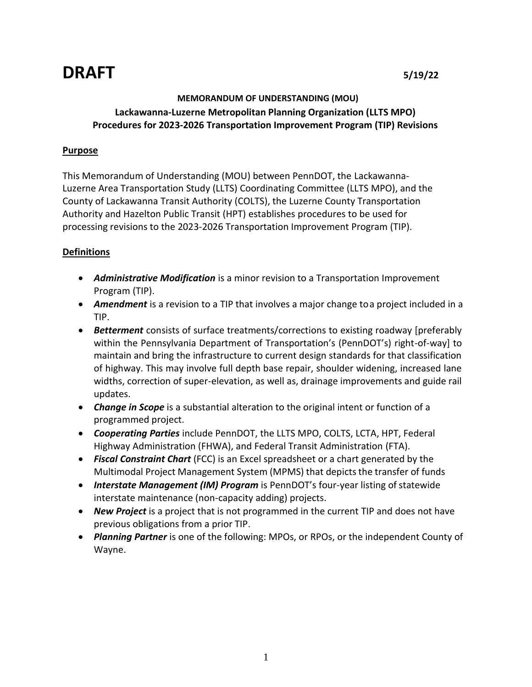# **DRAFT 5/19/22**

## **MEMORANDUM OF UNDERSTANDING (MOU)**

## **Lackawanna-Luzerne Metropolitan Planning Organization (LLTS MPO) Procedures for 2023-2026 Transportation Improvement Program (TIP) Revisions**

## **Purpose**

This Memorandum of Understanding (MOU) between PennDOT, the Lackawanna-Luzerne Area Transportation Study (LLTS) Coordinating Committee (LLTS MPO), and the County of Lackawanna Transit Authority (COLTS), the Luzerne County Transportation Authority and Hazelton Public Transit (HPT) establishes procedures to be used for processing revisions to the 2023-2026 Transportation Improvement Program (TIP).

## **Definitions**

- *Administrative Modification* is a minor revision to a Transportation Improvement Program (TIP).
- *Amendment* is a revision to a TIP that involves a major change toa project included in a TIP.
- *Betterment* consists of surface treatments/corrections to existing roadway [preferably within the Pennsylvania Department of Transportation's (PennDOT's) right-of-way] to maintain and bring the infrastructure to current design standards for that classification of highway. This may involve full depth base repair, shoulder widening, increased lane widths, correction of super-elevation, as well as, drainage improvements and guide rail updates.
- *Change in Scope* is a substantial alteration to the original intent or function of a programmed project.
- *Cooperating Parties* include PennDOT, the LLTS MPO, COLTS, LCTA, HPT, Federal Highway Administration (FHWA), and Federal Transit Administration (FTA).
- *Fiscal Constraint Chart* (FCC) is an Excel spreadsheet or a chart generated by the Multimodal Project Management System (MPMS) that depicts the transfer of funds
- Interstate Management (IM) Program is PennDOT's four-year listing of statewide interstate maintenance (non-capacity adding) projects.
- *New Project* is a project that is not programmed in the current TIP and does not have previous obligations from a prior TIP.
- *Planning Partner* is one of the following: MPOs, or RPOs, or the independent County of Wayne.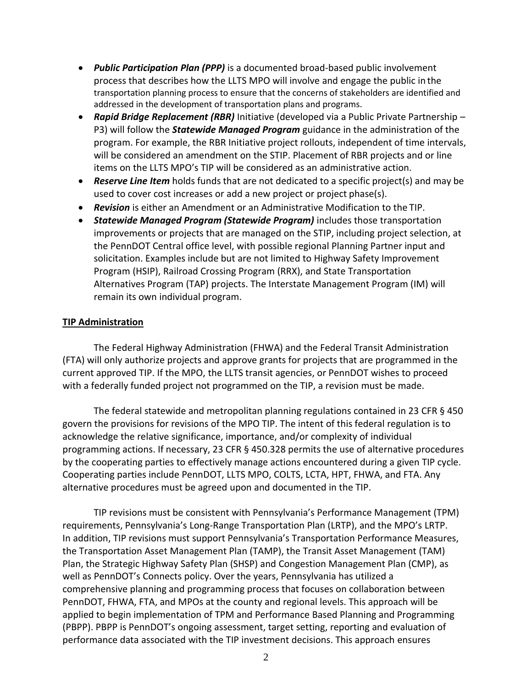- *Public Participation Plan (PPP)* is a documented broad-based public involvement process that describes how the LLTS MPO will involve and engage the public in the transportation planning process to ensure that the concerns of stakeholders are identified and addressed in the development of transportation plans and programs.
- *Rapid Bridge Replacement (RBR)* Initiative (developed via a Public Private Partnership P3) will follow the *Statewide Managed Program* guidance in the administration of the program. For example, the RBR Initiative project rollouts, independent of time intervals, will be considered an amendment on the STIP. Placement of RBR projects and or line items on the LLTS MPO's TIP will be considered as an administrative action.
- *Reserve Line Item* holds funds that are not dedicated to a specific project(s) and may be used to cover cost increases or add a new project or project phase(s).
- *Revision* is either an Amendment or an Administrative Modification to the TIP.
- *Statewide Managed Program (Statewide Program)* includes those transportation improvements or projects that are managed on the STIP, including project selection, at the PennDOT Central office level, with possible regional Planning Partner input and solicitation. Examples include but are not limited to Highway Safety Improvement Program (HSIP), Railroad Crossing Program (RRX), and State Transportation Alternatives Program (TAP) projects. The Interstate Management Program (IM) will remain its own individual program.

## **TIP Administration**

The Federal Highway Administration (FHWA) and the Federal Transit Administration (FTA) will only authorize projects and approve grants for projects that are programmed in the current approved TIP. If the MPO, the LLTS transit agencies, or PennDOT wishes to proceed with a federally funded project not programmed on the TIP, a revision must be made.

The federal statewide and metropolitan planning regulations contained in 23 CFR § 450 govern the provisions for revisions of the MPO TIP. The intent of this federal regulation is to acknowledge the relative significance, importance, and/or complexity of individual programming actions. If necessary, 23 CFR § 450.328 permits the use of alternative procedures by the cooperating parties to effectively manage actions encountered during a given TIP cycle. Cooperating parties include PennDOT, LLTS MPO, COLTS, LCTA, HPT, FHWA, and FTA. Any alternative procedures must be agreed upon and documented in the TIP.

TIP revisions must be consistent with Pennsylvania's Performance Management (TPM) requirements, Pennsylvania's Long-Range Transportation Plan (LRTP), and the MPO's LRTP. In addition, TIP revisions must support Pennsylvania's Transportation Performance Measures, the Transportation Asset Management Plan (TAMP), the Transit Asset Management (TAM) Plan, the Strategic Highway Safety Plan (SHSP) and Congestion Management Plan (CMP), as well as PennDOT's Connects policy. Over the years, Pennsylvania has utilized a comprehensive planning and programming process that focuses on collaboration between PennDOT, FHWA, FTA, and MPOs at the county and regional levels. This approach will be applied to begin implementation of TPM and Performance Based Planning and Programming (PBPP). PBPP is PennDOT's ongoing assessment, target setting, reporting and evaluation of performance data associated with the TIP investment decisions. This approach ensures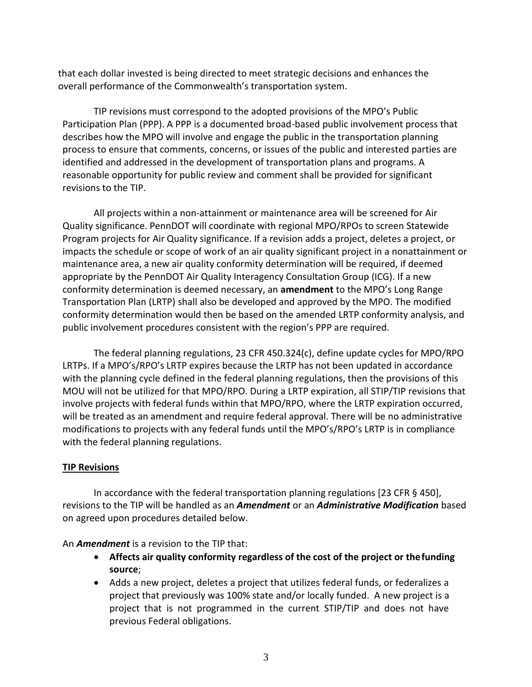that each dollar invested is being directed to meet strategic decisions and enhances the overall performance of the Commonwealth's transportation system.

TIP revisions must correspond to the adopted provisions of the MPO's Public Participation Plan (PPP). A PPP is a documented broad-based public involvement process that describes how the MPO will involve and engage the public in the transportation planning process to ensure that comments, concerns, or issues of the public and interested parties are identified and addressed in the development of transportation plans and programs. A reasonable opportunity for public review and comment shall be provided for significant revisions to the TIP.

All projects within a non-attainment or maintenance area will be screened for Air Quality significance. PennDOT will coordinate with regional MPO/RPOs to screen Statewide Program projects for Air Quality significance. If a revision adds a project, deletes a project, or impacts the schedule or scope of work of an air quality significant project in a nonattainment or maintenance area, a new air quality conformity determination will be required, if deemed appropriate by the PennDOT Air Quality Interagency Consultation Group (ICG). If a new conformity determination is deemed necessary, an **amendment** to the MPO's Long Range Transportation Plan (LRTP) shall also be developed and approved by the MPO. The modified conformity determination would then be based on the amended LRTP conformity analysis, and public involvement procedures consistent with the region's PPP are required.

The federal planning regulations, 23 CFR 450.324(c), define update cycles for MPO/RPO LRTPs. If a MPO's/RPO's LRTP expires because the LRTP has not been updated in accordance with the planning cycle defined in the federal planning regulations, then the provisions of this MOU will not be utilized for that MPO/RPO. During a LRTP expiration, all STIP/TIP revisions that involve projects with federal funds within that MPO/RPO, where the LRTP expiration occurred, will be treated as an amendment and require federal approval. There will be no administrative modifications to projects with any federal funds until the MPO's/RPO's LRTP is in compliance with the federal planning regulations.

## **TIP Revisions**

In accordance with the federal transportation planning regulations [23 CFR § 450], revisions to the TIP will be handled as an *Amendment* or an *Administrative Modification* based on agreed upon procedures detailed below.

An *Amendment* is a revision to the TIP that:

- **Affects air quality conformity regardless of the cost of the project or thefunding source**;
- Adds a new project, deletes a project that utilizes federal funds, or federalizes a project that previously was 100% state and/or locally funded. A new project is a project that is not programmed in the current STIP/TIP and does not have previous Federal obligations.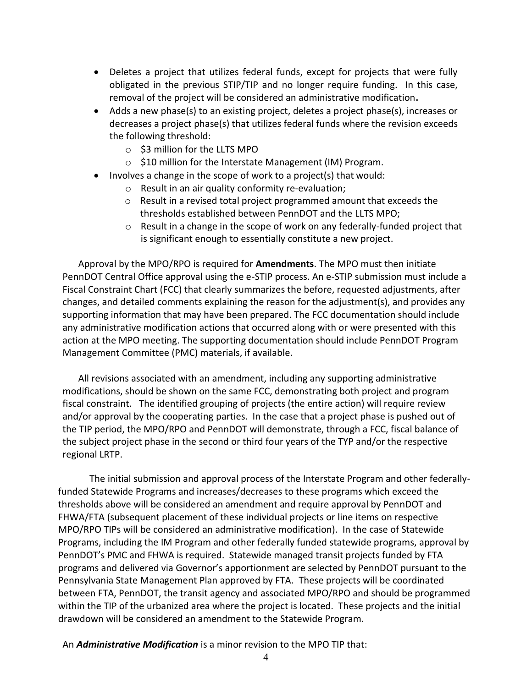- Deletes a project that utilizes federal funds, except for projects that were fully obligated in the previous STIP/TIP and no longer require funding. In this case, removal of the project will be considered an administrative modification**.**
- Adds a new phase(s) to an existing project, deletes a project phase(s), increases or decreases a project phase(s) that utilizes federal funds where the revision exceeds the following threshold:
	- o \$3 million for the LLTS MPO
	- o \$10 million for the Interstate Management (IM) Program.
- $\bullet$  Involves a change in the scope of work to a project(s) that would:
	- o Result in an air quality conformity re-evaluation;
	- o Result in a revised total project programmed amount that exceeds the thresholds established between PennDOT and the LLTS MPO;
	- $\circ$  Result in a change in the scope of work on any federally-funded project that is significant enough to essentially constitute a new project.

Approval by the MPO/RPO is required for **Amendments**. The MPO must then initiate PennDOT Central Office approval using the e-STIP process. An e-STIP submission must include a Fiscal Constraint Chart (FCC) that clearly summarizes the before, requested adjustments, after changes, and detailed comments explaining the reason for the adjustment(s), and provides any supporting information that may have been prepared. The FCC documentation should include any administrative modification actions that occurred along with or were presented with this action at the MPO meeting. The supporting documentation should include PennDOT Program Management Committee (PMC) materials, if available.

All revisions associated with an amendment, including any supporting administrative modifications, should be shown on the same FCC, demonstrating both project and program fiscal constraint. The identified grouping of projects (the entire action) will require review and/or approval by the cooperating parties. In the case that a project phase is pushed out of the TIP period, the MPO/RPO and PennDOT will demonstrate, through a FCC, fiscal balance of the subject project phase in the second or third four years of the TYP and/or the respective regional LRTP.

The initial submission and approval process of the Interstate Program and other federallyfunded Statewide Programs and increases/decreases to these programs which exceed the thresholds above will be considered an amendment and require approval by PennDOT and FHWA/FTA (subsequent placement of these individual projects or line items on respective MPO/RPO TIPs will be considered an administrative modification). In the case of Statewide Programs, including the IM Program and other federally funded statewide programs, approval by PennDOT's PMC and FHWA is required. Statewide managed transit projects funded by FTA programs and delivered via Governor's apportionment are selected by PennDOT pursuant to the Pennsylvania State Management Plan approved by FTA. These projects will be coordinated between FTA, PennDOT, the transit agency and associated MPO/RPO and should be programmed within the TIP of the urbanized area where the project is located. These projects and the initial drawdown will be considered an amendment to the Statewide Program.

An *Administrative Modification* is a minor revision to the MPO TIP that: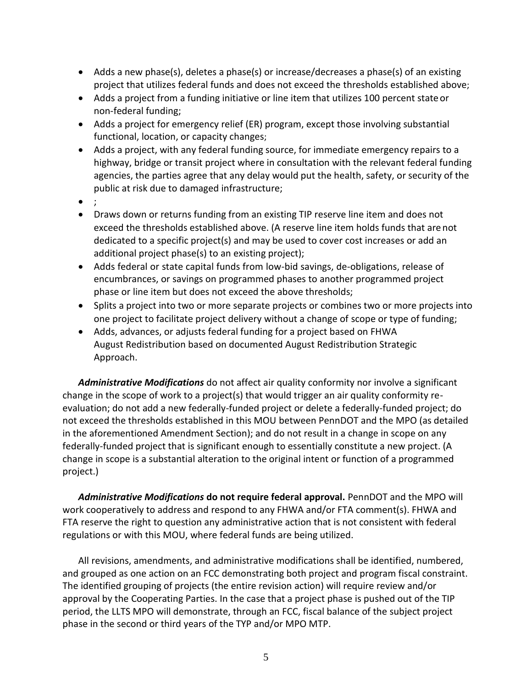- Adds a new phase(s), deletes a phase(s) or increase/decreases a phase(s) of an existing project that utilizes federal funds and does not exceed the thresholds established above;
- Adds a project from a funding initiative or line item that utilizes 100 percent stateor non-federal funding;
- Adds a project for emergency relief (ER) program, except those involving substantial functional, location, or capacity changes;
- Adds a project, with any federal funding source, for immediate emergency repairs to a highway, bridge or transit project where in consultation with the relevant federal funding agencies, the parties agree that any delay would put the health, safety, or security of the public at risk due to damaged infrastructure;
- $\bullet$ ;
- Draws down or returns funding from an existing TIP reserve line item and does not exceed the thresholds established above. (A reserve line item holds funds that arenot dedicated to a specific project(s) and may be used to cover cost increases or add an additional project phase(s) to an existing project);
- Adds federal or state capital funds from low-bid savings, de-obligations, release of encumbrances, or savings on programmed phases to another programmed project phase or line item but does not exceed the above thresholds;
- Splits a project into two or more separate projects or combines two or more projects into one project to facilitate project delivery without a change of scope or type of funding;
- Adds, advances, or adjusts federal funding for a project based on FHWA August Redistribution based on documented August Redistribution Strategic Approach.

*Administrative Modifications* do not affect air quality conformity nor involve a significant change in the scope of work to a project(s) that would trigger an air quality conformity reevaluation; do not add a new federally-funded project or delete a federally-funded project; do not exceed the thresholds established in this MOU between PennDOT and the MPO (as detailed in the aforementioned Amendment Section); and do not result in a change in scope on any federally-funded project that is significant enough to essentially constitute a new project. (A change in scope is a substantial alteration to the original intent or function of a programmed project.)

*Administrative Modifications* **do not require federal approval.** PennDOT and the MPO will work cooperatively to address and respond to any FHWA and/or FTA comment(s). FHWA and FTA reserve the right to question any administrative action that is not consistent with federal regulations or with this MOU, where federal funds are being utilized.

All revisions, amendments, and administrative modifications shall be identified, numbered, and grouped as one action on an FCC demonstrating both project and program fiscal constraint. The identified grouping of projects (the entire revision action) will require review and/or approval by the Cooperating Parties. In the case that a project phase is pushed out of the TIP period, the LLTS MPO will demonstrate, through an FCC, fiscal balance of the subject project phase in the second or third years of the TYP and/or MPO MTP.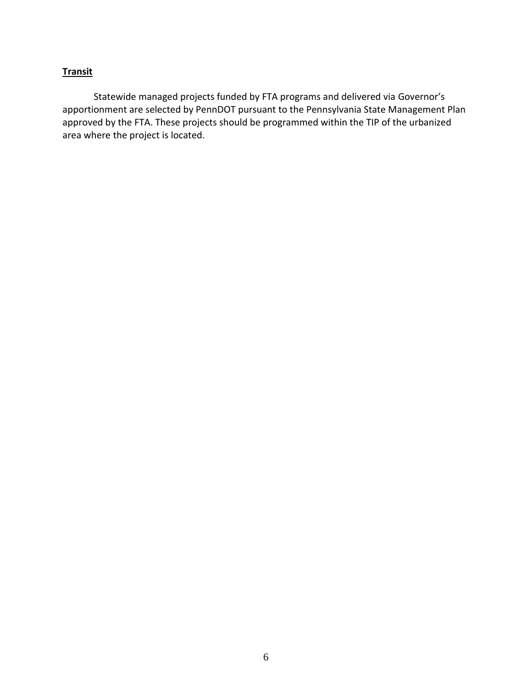## **Transit**

Statewide managed projects funded by FTA programs and delivered via Governor's apportionment are selected by PennDOT pursuant to the Pennsylvania State Management Plan approved by the FTA. These projects should be programmed within the TIP of the urbanized area where the project is located.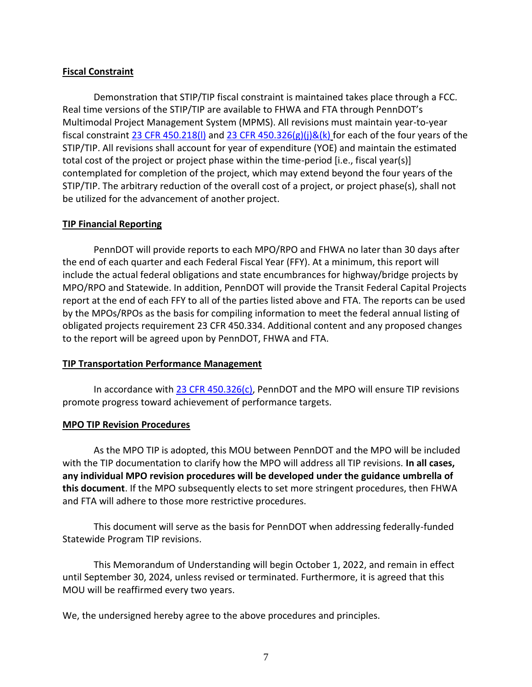## **Fiscal Constraint**

Demonstration that STIP/TIP fiscal constraint is maintained takes place through a FCC. Real time versions of the STIP/TIP are available to FHWA and FTA through PennDOT's Multimodal Project Management System (MPMS). All revisions must maintain year-to-year fiscal constraint 23 CFR 450.218(I) and [23 CFR 450.326\(g\)\(j\)&\(k\)](https://www.law.cornell.edu/cfr/text/23/450.326) for each of the four years of the STIP/TIP. All revisions shall account for year of expenditure (YOE) and maintain the estimated total cost of the project or project phase within the time-period [i.e., fiscal year(s)] contemplated for completion of the project, which may extend beyond the four years of the STIP/TIP. The arbitrary reduction of the overall cost of a project, or project phase(s), shall not be utilized for the advancement of another project.

### **TIP Financial Reporting**

PennDOT will provide reports to each MPO/RPO and FHWA no later than 30 days after the end of each quarter and each Federal Fiscal Year (FFY). At a minimum, this report will include the actual federal obligations and state encumbrances for highway/bridge projects by MPO/RPO and Statewide. In addition, PennDOT will provide the Transit Federal Capital Projects report at the end of each FFY to all of the parties listed above and FTA. The reports can be used by the MPOs/RPOs as the basis for compiling information to meet the federal annual listing of obligated projects requirement 23 CFR 450.334. Additional content and any proposed changes to the report will be agreed upon by PennDOT, FHWA and FTA.

### **TIP Transportation Performance Management**

In accordance with  $23$  CFR 450.326(c), PennDOT and the MPO will ensure TIP revisions promote progress toward achievement of performance targets.

### **MPO TIP Revision Procedures**

As the MPO TIP is adopted, this MOU between PennDOT and the MPO will be included with the TIP documentation to clarify how the MPO will address all TIP revisions. **In all cases, any individual MPO revision procedures will be developed under the guidance umbrella of this document**. If the MPO subsequently elects to set more stringent procedures, then FHWA and FTA will adhere to those more restrictive procedures.

This document will serve as the basis for PennDOT when addressing federally-funded Statewide Program TIP revisions.

This Memorandum of Understanding will begin October 1, 2022, and remain in effect until September 30, 2024, unless revised or terminated. Furthermore, it is agreed that this MOU will be reaffirmed every two years.

We, the undersigned hereby agree to the above procedures and principles.